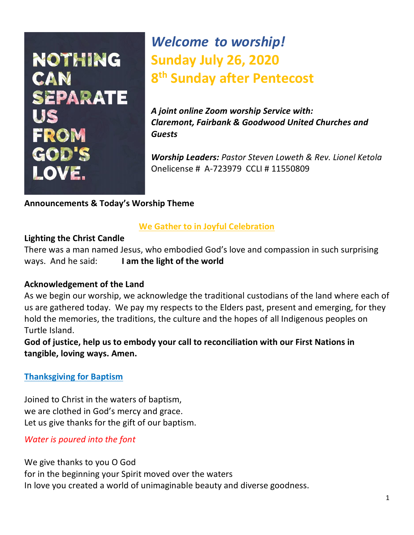# NOTHING CAN **SEPARATE** FROM GOD'S LOVE.

## *Welcome to worship!* **Sunday July 26, 2020 8 th Sunday after Pentecost**

*A joint online Zoom worship Service with: Claremont, Fairbank & Goodwood United Churches and Guests*

*Worship Leaders: Pastor Steven Loweth & Rev. Lionel Ketola* Onelicense # A-723979 CCLI # 11550809

#### **Announcements & Today's Worship Theme**

#### **We Gather to in Joyful Celebration**

#### **Lighting the Christ Candle**

There was a man named Jesus, who embodied God's love and compassion in such surprising ways. And he said: **I am the light of the world** 

#### **Acknowledgement of the Land**

As we begin our worship, we acknowledge the traditional custodians of the land where each of us are gathered today. We pay my respects to the Elders past, present and emerging, for they hold the memories, the traditions, the culture and the hopes of all Indigenous peoples on Turtle Island.

**God of justice, help us to embody your call to reconciliation with our First Nations in tangible, loving ways. Amen.** 

#### **Thanksgiving for Baptism**

Joined to Christ in the waters of baptism, we are clothed in God's mercy and grace. Let us give thanks for the gift of our baptism.

*Water is poured into the font* 

We give thanks to you O God

for in the beginning your Spirit moved over the waters

In love you created a world of unimaginable beauty and diverse goodness.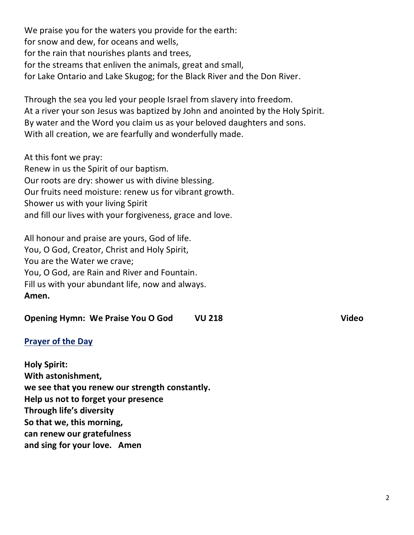We praise you for the waters you provide for the earth: for snow and dew, for oceans and wells, for the rain that nourishes plants and trees, for the streams that enliven the animals, great and small, for Lake Ontario and Lake Skugog; for the Black River and the Don River.

Through the sea you led your people Israel from slavery into freedom. At a river your son Jesus was baptized by John and anointed by the Holy Spirit. By water and the Word you claim us as your beloved daughters and sons. With all creation, we are fearfully and wonderfully made.

At this font we pray:

Renew in us the Spirit of our baptism. Our roots are dry: shower us with divine blessing. Our fruits need moisture: renew us for vibrant growth. Shower us with your living Spirit and fill our lives with your forgiveness, grace and love.

All honour and praise are yours, God of life. You, O God, Creator, Christ and Holy Spirit, You are the Water we crave; You, O God, are Rain and River and Fountain. Fill us with your abundant life, now and always. **Amen.** 

| <b>Opening Hymn: We Praise You O God</b><br><b>VU 218</b> | <b>Video</b> |
|-----------------------------------------------------------|--------------|
|-----------------------------------------------------------|--------------|

#### **Prayer of the Day**

**Holy Spirit: With astonishment, we see that you renew our strength constantly. Help us not to forget your presence Through life's diversity So that we, this morning, can renew our gratefulness and sing for your love. Amen**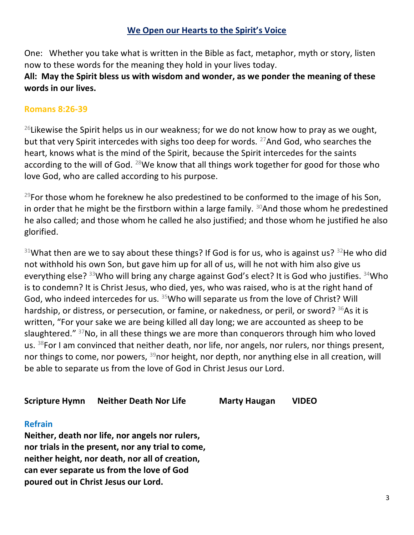#### **We Open our Hearts to the Spirit's Voice**

One: Whether you take what is written in the Bible as fact, metaphor, myth or story, listen now to these words for the meaning they hold in your lives today.

#### **All: May the Spirit bless us with wisdom and wonder, as we ponder the meaning of these words in our lives.**

#### **Romans 8:26-39**

<sup>26</sup> Likewise the Spirit helps us in our weakness; for we do not know how to pray as we ought, but that very Spirit intercedes with sighs too deep for words. <sup>27</sup>And God, who searches the heart, knows what is the mind of the Spirit, because the Spirit intercedes for the saints according to the will of God.  $^{28}$ We know that all things work together for good for those who love God, who are called according to his purpose.

 $^{29}$ For those whom he foreknew he also predestined to be conformed to the image of his Son, in order that he might be the firstborn within a large family.  $30$ And those whom he predestined he also called; and those whom he called he also justified; and those whom he justified he also glorified.

 $31$ What then are we to say about these things? If God is for us, who is against us?  $32$ He who did not withhold his own Son, but gave him up for all of us, will he not with him also give us everything else? <sup>33</sup>Who will bring any charge against God's elect? It is God who justifies. <sup>34</sup>Who is to condemn? It is Christ Jesus, who died, yes, who was raised, who is at the right hand of God, who indeed intercedes for us.  $35$ Who will separate us from the love of Christ? Will hardship, or distress, or persecution, or famine, or nakedness, or peril, or sword? <sup>36</sup>As it is written, "For your sake we are being killed all day long; we are accounted as sheep to be slaughtered." <sup>37</sup>No, in all these things we are more than conquerors through him who loved us.  $38$  For I am convinced that neither death, nor life, nor angels, nor rulers, nor things present, nor things to come, nor powers,  $39$  nor height, nor depth, nor anything else in all creation, will be able to separate us from the love of God in Christ Jesus our Lord.

#### **Scripture Hymn Neither Death Nor Life Marty Haugan VIDEO**

#### **Refrain**

**Neither, death nor life, nor angels nor rulers, nor trials in the present, nor any trial to come, neither height, nor death, nor all of creation, can ever separate us from the love of God poured out in Christ Jesus our Lord.**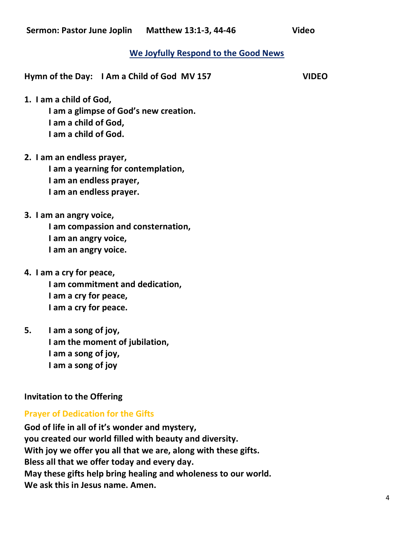#### **We Joyfully Respond to the Good News**

**Hymn of the Day: I Am a Child of God MV 157 VIDEO** 

**1. I am a child of God,** 

**I am a glimpse of God's new creation. I am a child of God, I am a child of God.** 

**2. I am an endless prayer,** 

**I am a yearning for contemplation, I am an endless prayer, I am an endless prayer.** 

**3. I am an angry voice,** 

**I am compassion and consternation, I am an angry voice, I am an angry voice.** 

- **4. I am a cry for peace, I am commitment and dedication, I am a cry for peace, I am a cry for peace.**
- **5. I am a song of joy, I am the moment of jubilation, I am a song of joy, I am a song of joy**

#### **Invitation to the Offering**

#### **Prayer of Dedication for the Gifts**

**God of life in all of it's wonder and mystery, you created our world filled with beauty and diversity. With joy we offer you all that we are, along with these gifts. Bless all that we offer today and every day. May these gifts help bring healing and wholeness to our world. We ask this in Jesus name. Amen.**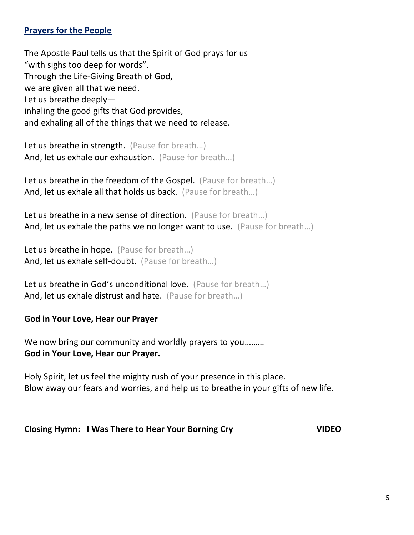#### **Prayers for the People**

The Apostle Paul tells us that the Spirit of God prays for us "with sighs too deep for words". Through the Life-Giving Breath of God, we are given all that we need. Let us breathe deeply inhaling the good gifts that God provides, and exhaling all of the things that we need to release.

Let us breathe in strength. (Pause for breath...) And, let us exhale our exhaustion. (Pause for breath...)

Let us breathe in the freedom of the Gospel. (Pause for breath...) And, let us exhale all that holds us back. (Pause for breath…)

Let us breathe in a new sense of direction. (Pause for breath...) And, let us exhale the paths we no longer want to use. (Pause for breath…)

Let us breathe in hope. (Pause for breath...) And, let us exhale self-doubt. (Pause for breath…)

Let us breathe in God's unconditional love. (Pause for breath...) And, let us exhale distrust and hate. (Pause for breath...)

#### **God in Your Love, Hear our Prayer**

We now bring our community and worldly prayers to you......... **God in Your Love, Hear our Prayer.**

Holy Spirit, let us feel the mighty rush of your presence in this place. Blow away our fears and worries, and help us to breathe in your gifts of new life.

#### **Closing Hymn: I Was There to Hear Your Borning Cry VIDEO**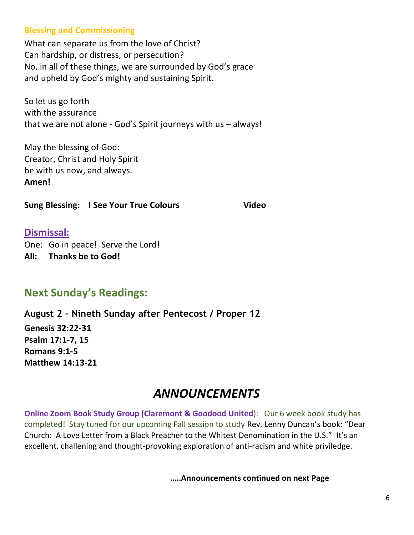#### **Blessing and Commissioning**

What can separate us from the love of Christ? Can hardship, or distress, or persecution? No, in all of these things, we are surrounded by God's grace and upheld by God's mighty and sustaining Spirit.

So let us go forth with the assurance that we are not alone - God's Spirit journeys with us – always!

May the blessing of God: Creator, Christ and Holy Spirit be with us now, and always. **Amen!** 

**Sung Blessing: I See Your True Colours True Video** 

#### **Dismissal:**

One: Go in peace! Serve the Lord! **All: Thanks be to God!** 

### **Next Sunday's Readings:**

**August 2 – Nineth Sunday after Pentecost / Proper 12** 

**[Genesis 32:22-31](http://www.textweek.com/pentateuch/gen32.htm) [Psalm 17:1-7, 15](http://www.textweek.com/writings/psalm17.htm) [Romans 9:1-5](http://www.textweek.com/pauline/rom9.htm) [Matthew 14:13-21](http://www.textweek.com/mtlk/matt14a.htm)**

### *ANNOUNCEMENTS*

**Online Zoom Book Study Group (Claremont & Goodood United):** Our 6 week book study has completed! Stay tuned for our upcoming Fall session to study Rev. Lenny Duncan's book: "Dear Church: A Love Letter from a Black Preacher to the Whitest Denomination in the U.S." It's an excellent, challening and thought-provoking exploration of anti-racism and white priviledge.

**…..Announcements continued on next Page**